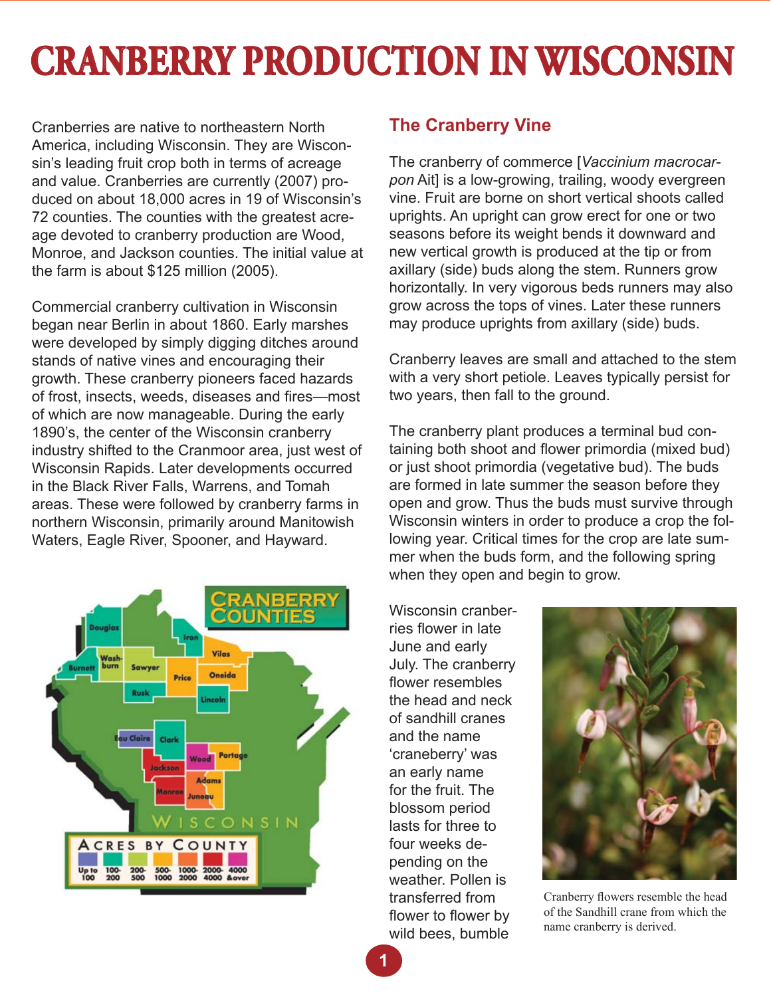# **CRANBERRY PRODUCTION IN WISCONSIN**

Cranberries are native to northeastern North America, including Wisconsin. They are Wisconsin's leading fruit crop both in terms of acreage and value. Cranberries are currently (2007) produced on about 18,000 acres in 19 of Wisconsin's 72 counties. The counties with the greatest acreage devoted to cranberry production are Wood, Monroe, and Jackson counties. The initial value at the farm is about \$125 million (2005).

Commercial cranberry cultivation in Wisconsin began near Berlin in about 1860. Early marshes were developed by simply digging ditches around stands of native vines and encouraging their growth. These cranberry pioneers faced hazards of frost, insects, weeds, diseases and fires—most of which are now manageable. During the early 1890's, the center of the Wisconsin cranberry industry shifted to the Cranmoor area, just west of Wisconsin Rapids. Later developments occurred in the Black River Falls, Warrens, and Tomah areas. These were followed by cranberry farms in northern Wisconsin, primarily around Manitowish Waters, Eagle River, Spooner, and Hayward.



# **The Cranberry Vine**

The cranberry of commerce [*Vaccinium macrocarpon* Ait] is a low-growing, trailing, woody evergreen vine. Fruit are borne on short vertical shoots called uprights. An upright can grow erect for one or two seasons before its weight bends it downward and new vertical growth is produced at the tip or from axillary (side) buds along the stem. Runners grow horizontally. In very vigorous beds runners may also grow across the tops of vines. Later these runners may produce uprights from axillary (side) buds.

Cranberry leaves are small and attached to the stem with a very short petiole. Leaves typically persist for two years, then fall to the ground.

The cranberry plant produces a terminal bud containing both shoot and flower primordia (mixed bud) or just shoot primordia (vegetative bud). The buds are formed in late summer the season before they open and grow. Thus the buds must survive through Wisconsin winters in order to produce a crop the following year. Critical times for the crop are late summer when the buds form, and the following spring when they open and begin to grow.

Wisconsin cranberries flower in late June and early July. The cranberry flower resembles the head and neck of sandhill cranes and the name 'craneberry' was an early name for the fruit. The blossom period lasts for three to four weeks depending on the weather. Pollen is transferred from flower to flower by wild bees, bumble



Cranberry flowers resemble the head of the Sandhill crane from which the name cranberry is derived.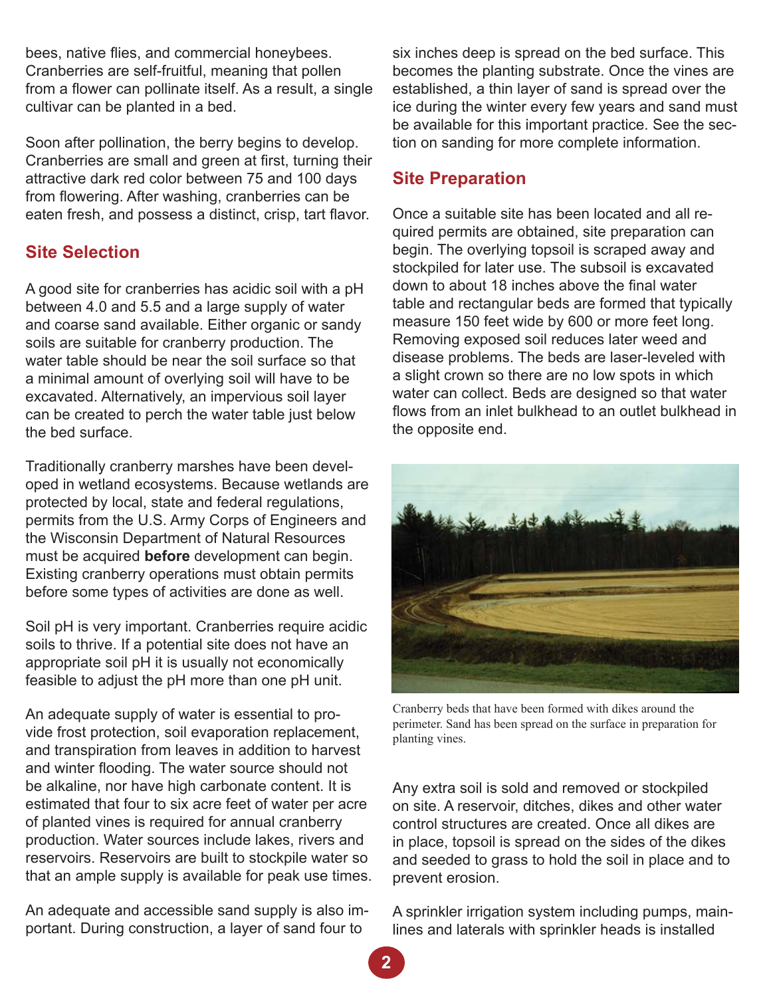bees, native flies, and commercial honeybees. Cranberries are self-fruitful, meaning that pollen from a flower can pollinate itself. As a result, a single cultivar can be planted in a bed.

Soon after pollination, the berry begins to develop. Cranberries are small and green at first, turning their attractive dark red color between 75 and 100 days from flowering. After washing, cranberries can be eaten fresh, and possess a distinct, crisp, tart flavor.

# **Site Selection**

A good site for cranberries has acidic soil with a pH between 4.0 and 5.5 and a large supply of water and coarse sand available. Either organic or sandy soils are suitable for cranberry production. The water table should be near the soil surface so that a minimal amount of overlying soil will have to be excavated. Alternatively, an impervious soil layer can be created to perch the water table just below the bed surface.

Traditionally cranberry marshes have been developed in wetland ecosystems. Because wetlands are protected by local, state and federal regulations, permits from the U.S. Army Corps of Engineers and the Wisconsin Department of Natural Resources must be acquired **before** development can begin. Existing cranberry operations must obtain permits before some types of activities are done as well.

Soil pH is very important. Cranberries require acidic soils to thrive. If a potential site does not have an appropriate soil pH it is usually not economically feasible to adjust the pH more than one pH unit.

An adequate supply of water is essential to provide frost protection, soil evaporation replacement, and transpiration from leaves in addition to harvest and winter flooding. The water source should not be alkaline, nor have high carbonate content. It is estimated that four to six acre feet of water per acre of planted vines is required for annual cranberry production. Water sources include lakes, rivers and reservoirs. Reservoirs are built to stockpile water so that an ample supply is available for peak use times.

An adequate and accessible sand supply is also important. During construction, a layer of sand four to

six inches deep is spread on the bed surface. This becomes the planting substrate. Once the vines are established, a thin layer of sand is spread over the ice during the winter every few years and sand must be available for this important practice. See the section on sanding for more complete information.

# **Site Preparation**

Once a suitable site has been located and all required permits are obtained, site preparation can begin. The overlying topsoil is scraped away and stockpiled for later use. The subsoil is excavated down to about 18 inches above the final water table and rectangular beds are formed that typically measure 150 feet wide by 600 or more feet long. Removing exposed soil reduces later weed and disease problems. The beds are laser-leveled with a slight crown so there are no low spots in which water can collect. Beds are designed so that water flows from an inlet bulkhead to an outlet bulkhead in the opposite end.



Cranberry beds that have been formed with dikes around the perimeter. Sand has been spread on the surface in preparation for planting vines.

Any extra soil is sold and removed or stockpiled on site. A reservoir, ditches, dikes and other water control structures are created. Once all dikes are in place, topsoil is spread on the sides of the dikes and seeded to grass to hold the soil in place and to prevent erosion.

A sprinkler irrigation system including pumps, mainlines and laterals with sprinkler heads is installed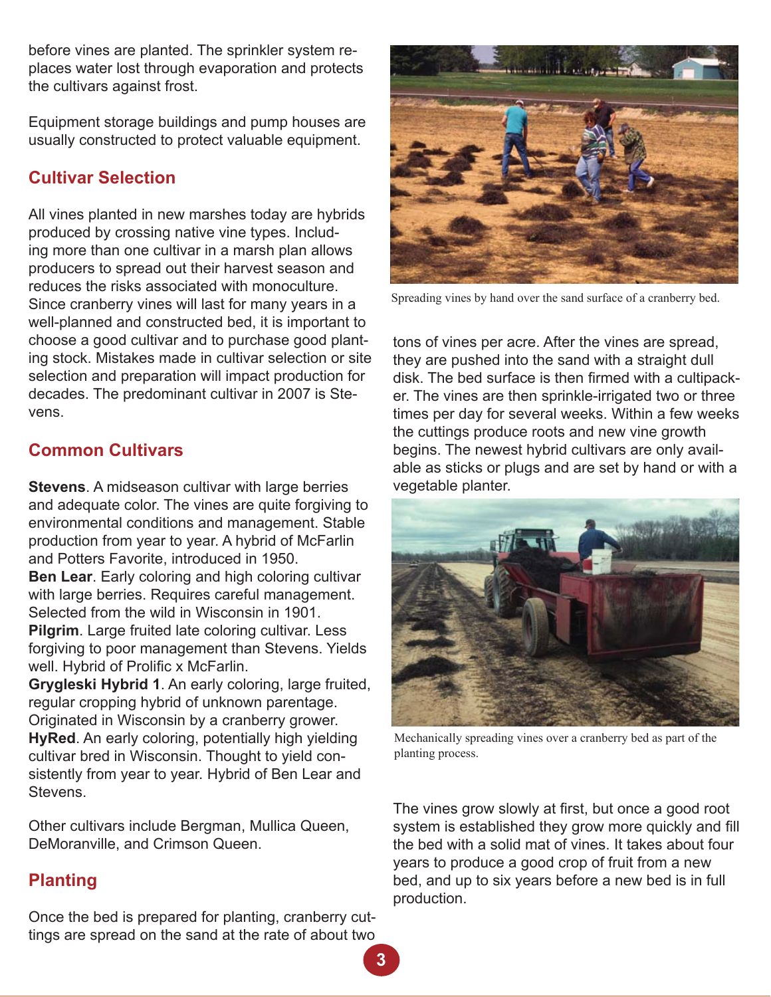before vines are planted. The sprinkler system replaces water lost through evaporation and protects the cultivars against frost.

Equipment storage buildings and pump houses are usually constructed to protect valuable equipment.

# **Cultivar Selection**

All vines planted in new marshes today are hybrids produced by crossing native vine types. Including more than one cultivar in a marsh plan allows producers to spread out their harvest season and reduces the risks associated with monoculture. Since cranberry vines will last for many years in a well-planned and constructed bed, it is important to choose a good cultivar and to purchase good planting stock. Mistakes made in cultivar selection or site selection and preparation will impact production for decades. The predominant cultivar in 2007 is Stevens.

# **Common Cultivars**

**Stevens**. A midseason cultivar with large berries and adequate color. The vines are quite forgiving to environmental conditions and management. Stable production from year to year. A hybrid of McFarlin and Potters Favorite, introduced in 1950. **Ben Lear**. Early coloring and high coloring cultivar with large berries. Requires careful management. Selected from the wild in Wisconsin in 1901. **Pilgrim**. Large fruited late coloring cultivar. Less forgiving to poor management than Stevens. Yields well. Hybrid of Prolific x McFarlin.

**Grygleski Hybrid 1**. An early coloring, large fruited, regular cropping hybrid of unknown parentage. Originated in Wisconsin by a cranberry grower. **HyRed**. An early coloring, potentially high yielding cultivar bred in Wisconsin. Thought to yield consistently from year to year. Hybrid of Ben Lear and Stevens.

Other cultivars include Bergman, Mullica Queen, DeMoranville, and Crimson Queen.

# **Planting**

Once the bed is prepared for planting, cranberry cuttings are spread on the sand at the rate of about two



Spreading vines by hand over the sand surface of a cranberry bed.

tons of vines per acre. After the vines are spread, they are pushed into the sand with a straight dull disk. The bed surface is then firmed with a cultipacker. The vines are then sprinkle-irrigated two or three times per day for several weeks. Within a few weeks the cuttings produce roots and new vine growth begins. The newest hybrid cultivars are only available as sticks or plugs and are set by hand or with a vegetable planter.



Mechanically spreading vines over a cranberry bed as part of the planting process.

The vines grow slowly at first, but once a good root system is established they grow more quickly and fill the bed with a solid mat of vines. It takes about four years to produce a good crop of fruit from a new bed, and up to six years before a new bed is in full production.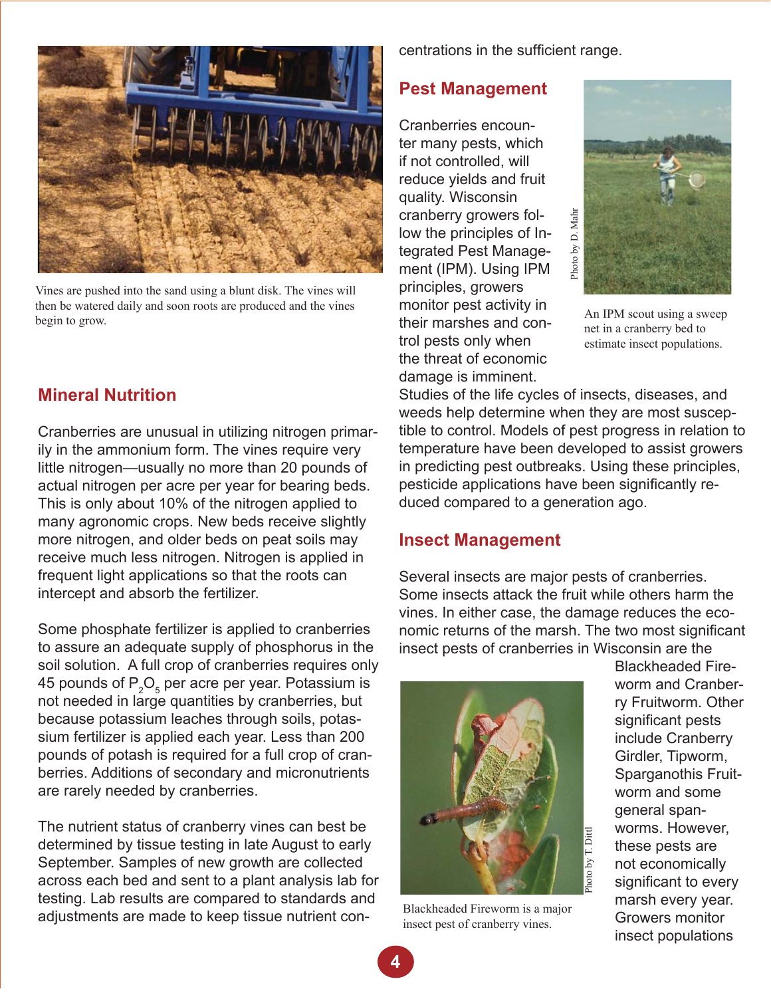

Vines are pushed into the sand using a blunt disk. The vines will then be watered daily and soon roots are produced and the vines begin to grow.

# **Mineral Nutrition**

Cranberries are unusual in utilizing nitrogen primarily in the ammonium form. The vines require very little nitrogen—usually no more than 20 pounds of actual nitrogen per acre per year for bearing beds. This is only about 10% of the nitrogen applied to many agronomic crops. New beds receive slightly more nitrogen, and older beds on peat soils may receive much less nitrogen. Nitrogen is applied in frequent light applications so that the roots can intercept and absorb the fertilizer.

Some phosphate fertilizer is applied to cranberries to assure an adequate supply of phosphorus in the soil solution. A full crop of cranberries requires only 45 pounds of  $\mathsf{P}_\mathsf{2}\mathsf{O}_\mathsf{s}$  per acre per year. Potassium is not needed in large quantities by cranberries, but because potassium leaches through soils, potassium fertilizer is applied each year. Less than 200 pounds of potash is required for a full crop of cranberries. Additions of secondary and micronutrients are rarely needed by cranberries.

The nutrient status of cranberry vines can best be determined by tissue testing in late August to early September. Samples of new growth are collected across each bed and sent to a plant analysis lab for testing. Lab results are compared to standards and adjustments are made to keep tissue nutrient concentrations in the sufficient range.

#### **Pest Management**

Cranberries encounter many pests, which if not controlled, will reduce yields and fruit quality. Wisconsin cranberry growers follow the principles of Integrated Pest Management (IPM). Using IPM principles, growers monitor pest activity in their marshes and control pests only when the threat of economic damage is imminent.



An IPM scout using a sweep net in a cranberry bed to estimate insect populations.

Studies of the life cycles of insects, diseases, and weeds help determine when they are most susceptible to control. Models of pest progress in relation to temperature have been developed to assist growers in predicting pest outbreaks. Using these principles, pesticide applications have been significantly reduced compared to a generation ago.

#### **Insect Management**

Several insects are major pests of cranberries. Some insects attack the fruit while others harm the vines. In either case, the damage reduces the economic returns of the marsh. The two most significant insect pests of cranberries in Wisconsin are the



Blackheaded Fireworm is a major insect pest of cranberry vines.

Blackheaded Fireworm and Cranberry Fruitworm. Other significant pests include Cranberry Girdler, Tipworm, Sparganothis Fruitworm and some general spanworms. However, these pests are not economically significant to every marsh every year. Growers monitor insect populations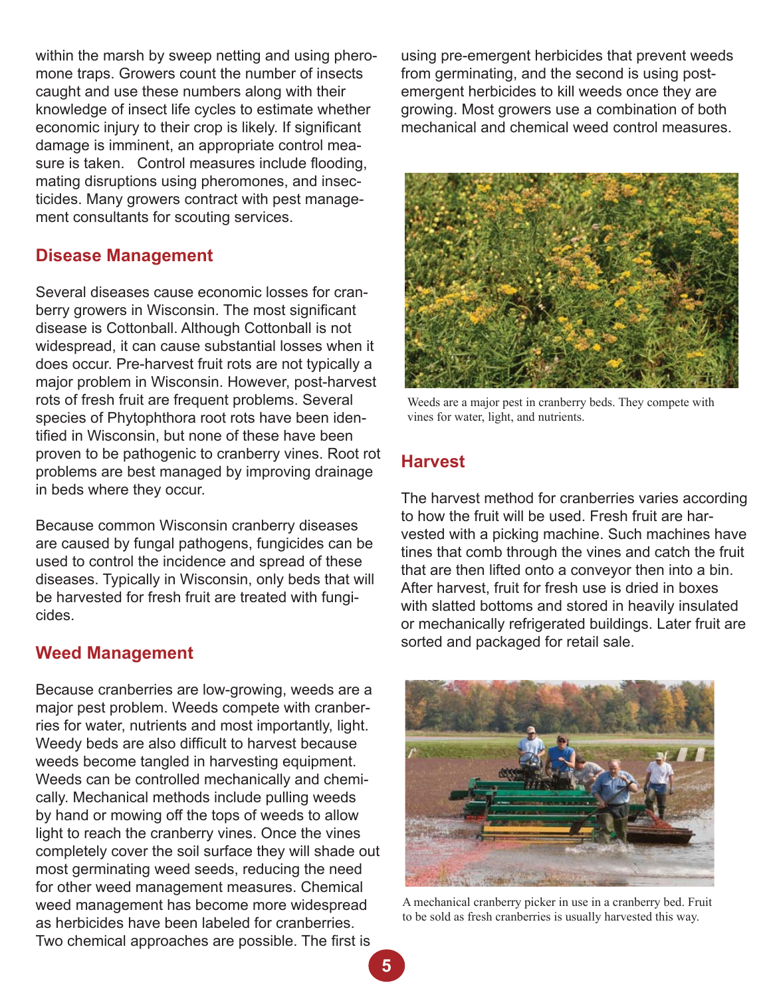within the marsh by sweep netting and using pheromone traps. Growers count the number of insects caught and use these numbers along with their knowledge of insect life cycles to estimate whether economic injury to their crop is likely. If significant damage is imminent, an appropriate control measure is taken. Control measures include flooding, mating disruptions using pheromones, and insecticides. Many growers contract with pest management consultants for scouting services.

#### **Disease Management**

Several diseases cause economic losses for cranberry growers in Wisconsin. The most significant disease is Cottonball. Although Cottonball is not widespread, it can cause substantial losses when it does occur. Pre-harvest fruit rots are not typically a major problem in Wisconsin. However, post-harvest rots of fresh fruit are frequent problems. Several species of Phytophthora root rots have been identified in Wisconsin, but none of these have been proven to be pathogenic to cranberry vines. Root rot problems are best managed by improving drainage in beds where they occur.

Because common Wisconsin cranberry diseases are caused by fungal pathogens, fungicides can be used to control the incidence and spread of these diseases. Typically in Wisconsin, only beds that will be harvested for fresh fruit are treated with fungicides.

#### **Weed Management**

Because cranberries are low-growing, weeds are a major pest problem. Weeds compete with cranberries for water, nutrients and most importantly, light. Weedy beds are also difficult to harvest because weeds become tangled in harvesting equipment. Weeds can be controlled mechanically and chemically. Mechanical methods include pulling weeds by hand or mowing off the tops of weeds to allow light to reach the cranberry vines. Once the vines completely cover the soil surface they will shade out most germinating weed seeds, reducing the need for other weed management measures. Chemical weed management has become more widespread as herbicides have been labeled for cranberries. Two chemical approaches are possible. The first is

using pre-emergent herbicides that prevent weeds from germinating, and the second is using postemergent herbicides to kill weeds once they are growing. Most growers use a combination of both mechanical and chemical weed control measures.



Weeds are a major pest in cranberry beds. They compete with vines for water, light, and nutrients.

# **Harvest**

The harvest method for cranberries varies according to how the fruit will be used. Fresh fruit are harvested with a picking machine. Such machines have tines that comb through the vines and catch the fruit that are then lifted onto a conveyor then into a bin. After harvest, fruit for fresh use is dried in boxes with slatted bottoms and stored in heavily insulated or mechanically refrigerated buildings. Later fruit are sorted and packaged for retail sale.



A mechanical cranberry picker in use in a cranberry bed. Fruit to be sold as fresh cranberries is usually harvested this way.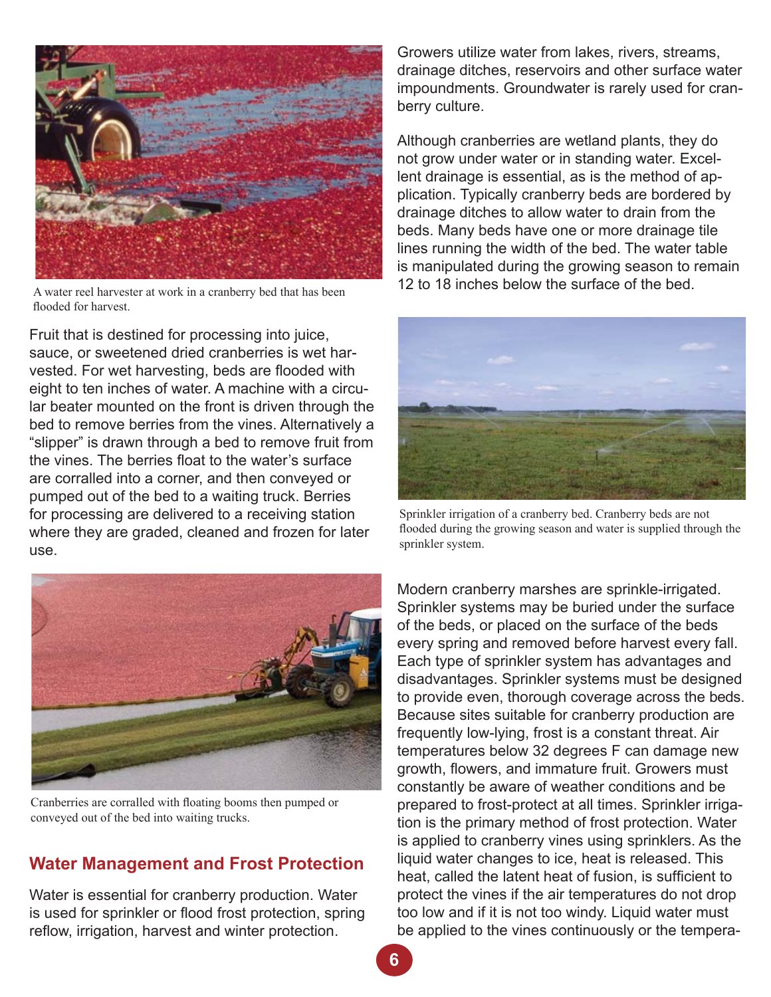

A water reel harvester at work in a cranberry bed that has been flooded for harvest.

Fruit that is destined for processing into juice, sauce, or sweetened dried cranberries is wet harvested. For wet harvesting, beds are flooded with eight to ten inches of water. A machine with a circular beater mounted on the front is driven through the bed to remove berries from the vines. Alternatively a "slipper" is drawn through a bed to remove fruit from the vines. The berries float to the water's surface are corralled into a corner, and then conveyed or pumped out of the bed to a waiting truck. Berries for processing are delivered to a receiving station where they are graded, cleaned and frozen for later use.



Cranberries are corralled with floating booms then pumped or conveyed out of the bed into waiting trucks.

# **Water Management and Frost Protection**

Water is essential for cranberry production. Water is used for sprinkler or flood frost protection, spring reflow, irrigation, harvest and winter protection.

Growers utilize water from lakes, rivers, streams, drainage ditches, reservoirs and other surface water impoundments. Groundwater is rarely used for cranberry culture.

Although cranberries are wetland plants, they do not grow under water or in standing water. Excellent drainage is essential, as is the method of application. Typically cranberry beds are bordered by drainage ditches to allow water to drain from the beds. Many beds have one or more drainage tile lines running the width of the bed. The water table is manipulated during the growing season to remain 12 to 18 inches below the surface of the bed.



Sprinkler irrigation of a cranberry bed. Cranberry beds are not flooded during the growing season and water is supplied through the sprinkler system.

Modern cranberry marshes are sprinkle-irrigated. Sprinkler systems may be buried under the surface of the beds, or placed on the surface of the beds every spring and removed before harvest every fall. Each type of sprinkler system has advantages and disadvantages. Sprinkler systems must be designed to provide even, thorough coverage across the beds. Because sites suitable for cranberry production are frequently low-lying, frost is a constant threat. Air temperatures below 32 degrees F can damage new growth, flowers, and immature fruit. Growers must constantly be aware of weather conditions and be prepared to frost-protect at all times. Sprinkler irrigation is the primary method of frost protection. Water is applied to cranberry vines using sprinklers. As the liquid water changes to ice, heat is released. This heat, called the latent heat of fusion, is sufficient to protect the vines if the air temperatures do not drop too low and if it is not too windy. Liquid water must be applied to the vines continuously or the tempera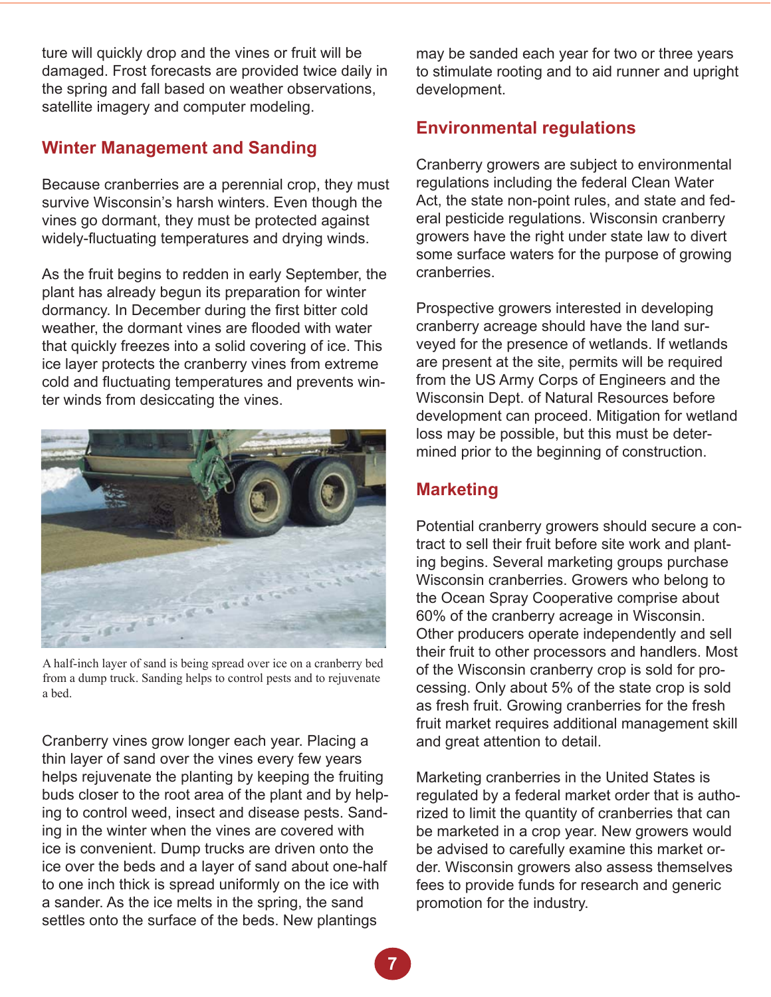ture will quickly drop and the vines or fruit will be damaged. Frost forecasts are provided twice daily in the spring and fall based on weather observations, satellite imagery and computer modeling.

# **Winter Management and Sanding**

Because cranberries are a perennial crop, they must survive Wisconsin's harsh winters. Even though the vines go dormant, they must be protected against widely-fluctuating temperatures and drying winds.

As the fruit begins to redden in early September, the plant has already begun its preparation for winter dormancy. In December during the first bitter cold weather, the dormant vines are flooded with water that quickly freezes into a solid covering of ice. This ice layer protects the cranberry vines from extreme cold and fluctuating temperatures and prevents winter winds from desiccating the vines.



A half-inch layer of sand is being spread over ice on a cranberry bed from a dump truck. Sanding helps to control pests and to rejuvenate a bed.

Cranberry vines grow longer each year. Placing a thin layer of sand over the vines every few years helps rejuvenate the planting by keeping the fruiting buds closer to the root area of the plant and by helping to control weed, insect and disease pests. Sanding in the winter when the vines are covered with ice is convenient. Dump trucks are driven onto the ice over the beds and a layer of sand about one-half to one inch thick is spread uniformly on the ice with a sander. As the ice melts in the spring, the sand settles onto the surface of the beds. New plantings

may be sanded each year for two or three years to stimulate rooting and to aid runner and upright development.

# **Environmental regulations**

Cranberry growers are subject to environmental regulations including the federal Clean Water Act, the state non-point rules, and state and federal pesticide regulations. Wisconsin cranberry growers have the right under state law to divert some surface waters for the purpose of growing cranberries.

Prospective growers interested in developing cranberry acreage should have the land surveyed for the presence of wetlands. If wetlands are present at the site, permits will be required from the US Army Corps of Engineers and the Wisconsin Dept. of Natural Resources before development can proceed. Mitigation for wetland loss may be possible, but this must be determined prior to the beginning of construction.

# **Marketing**

Potential cranberry growers should secure a contract to sell their fruit before site work and planting begins. Several marketing groups purchase Wisconsin cranberries. Growers who belong to the Ocean Spray Cooperative comprise about 60% of the cranberry acreage in Wisconsin. Other producers operate independently and sell their fruit to other processors and handlers. Most of the Wisconsin cranberry crop is sold for processing. Only about 5% of the state crop is sold as fresh fruit. Growing cranberries for the fresh fruit market requires additional management skill and great attention to detail.

Marketing cranberries in the United States is regulated by a federal market order that is authorized to limit the quantity of cranberries that can be marketed in a crop year. New growers would be advised to carefully examine this market order. Wisconsin growers also assess themselves fees to provide funds for research and generic promotion for the industry.